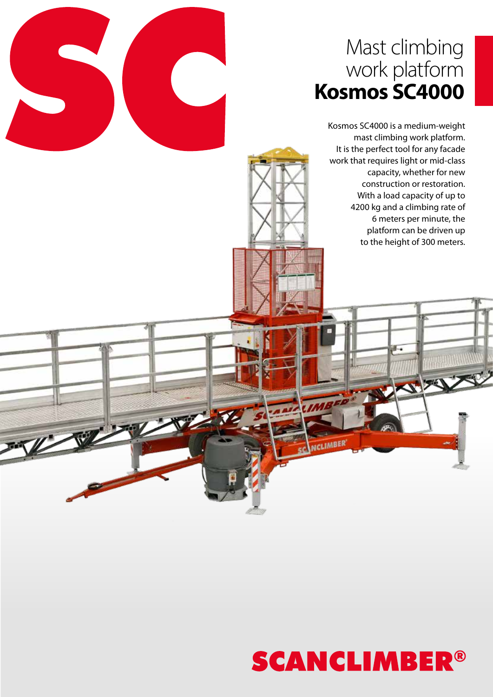# Mast climbing work platform **Kosmos SC4000**

Kosmos SC4000 is a medium-weight mast climbing work platform. It is the perfect tool for any facade work that requires light or mid-class capacity, whether for new construction or restoration. With a load capacity of up to 4200 kg and a climbing rate of 6 meters per minute, the platform can be driven up to the height of 300 meters.



**UCLIMBER**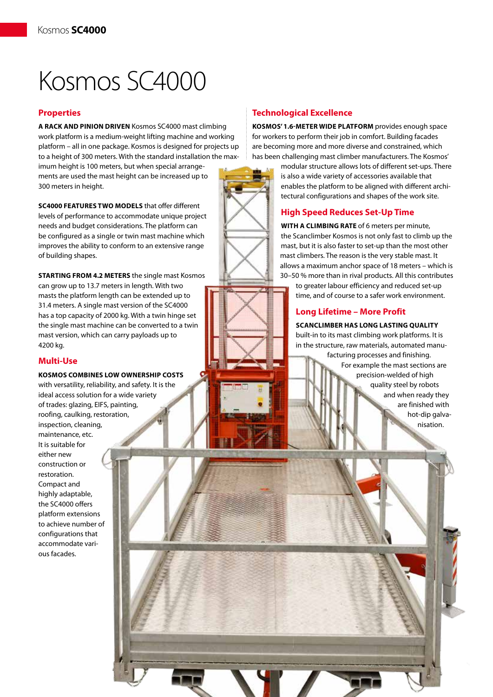# Kosmos SC4000

# **Properties**

**A rack and pinion driven** Kosmos SC4000 mast climbing work platform is a medium-weight lifting machine and working platform – all in one package. Kosmos is designed for projects up to a height of 300 meters. With the standard installation the max-

imum height is 100 meters, but when special arrangements are used the mast height can be increased up to 300 meters in height.

**SC4000 FEATURES TWO MODELS** that offer different levels of performance to accommodate unique project needs and budget considerations. The platform can be configured as a single or twin mast machine which improves the ability to conform to an extensive range of building shapes.

**STARTING FROM 4.2 METERS** the single mast Kosmos can grow up to 13.7 meters in length. With two masts the platform length can be extended up to 31.4 meters. A single mast version of the SC4000 has a top capacity of 2000 kg. With a twin hinge set the single mast machine can be converted to a twin mast version, which can carry payloads up to 4200 kg.

### **Multi-Use**

#### **Kosmos combines low ownership costs**

with versatility, reliability, and safety. It is the ideal access solution for a wide variety of trades: glazing, EIFS, painting, roofing, caulking, restoration, inspection, cleaning, maintenance, etc. It is suitable for either new construction or restoration. Compact and highly adaptable, the SC4000 offers platform extensions to achieve number of configurations that accommodate various facades.

# **Technological Excellence**

**Kosmos' 1.6-meter wide platform** provides enough space for workers to perform their job in comfort. Building facades are becoming more and more diverse and constrained, which has been challenging mast climber manufacturers. The Kosmos'

modular structure allows lots of different set-ups. There is also a wide variety of accessories available that enables the platform to be aligned with different architectural configurations and shapes of the work site.

## **High Speed Reduces Set-Up Time**

**With a climbing rate** of 6 meters per minute, the Scanclimber Kosmos is not only fast to climb up the mast, but it is also faster to set-up than the most other mast climbers. The reason is the very stable mast. It allows a maximum anchor space of 18 meters – which is 30–50 % more than in rival products. All this contributes

to greater labour efficiency and reduced set-up time, and of course to a safer work environment.

# **Long Lifetime – More Profit**

**Scanclimber HAS long lasting quality** built-in to its mast climbing work platforms. It is in the structure, raw materials, automated manufacturing processes and finishing. For example the mast sections are precision-welded of high quality steel by robots and when ready they are finished with hot-dip galva-

nisation.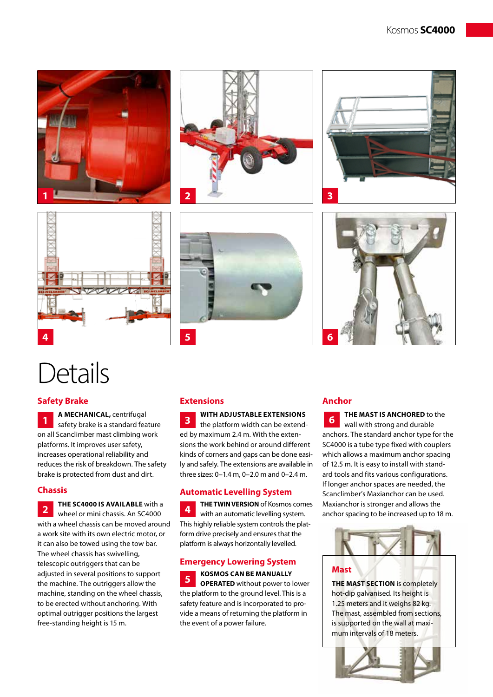











# **Details**

# **Safety Brake**

**A MECHANICAL,** centrifugal safety brake is a standard feature on all Scanclimber mast climbing work platforms. It improves user safety, increases operational reliability and reduces the risk of breakdown. The safety brake is protected from dust and dirt. **1**

### **Chassis**

**THE SC4000 is available** with a wheel or mini chassis. An SC4000 with a wheel chassis can be moved around a work site with its own electric motor, or it can also be towed using the tow bar. The wheel chassis has swivelling, telescopic outriggers that can be adjusted in several positions to support the machine. The outriggers allow the machine, standing on the wheel chassis, to be erected without anchoring. With optimal outrigger positions the largest free-standing height is 15 m. **2**

### **Extensions**

**With adjustable extensions** the platform width can be extended by maximum 2.4 m. With the extensions the work behind or around different kinds of corners and gaps can be done easily and safely. The extensions are available in three sizes: 0–1.4 m, 0–2.0 m and 0–2.4 m. **3**

### **Automatic Levelling System**

**The twin version** of Kosmos comes with an automatic levelling system. This highly reliable system controls the platform drive precisely and ensures that the platform is always horizontally levelled. **4**

#### **Emergency Lowering System**

**KOSMOS can be manually OPERATED** without power to lower the platform to the ground level. This is a safety feature and is incorporated to provide a means of returning the platform in the event of a power failure. **5**

#### **Anchor**

**the mast is anchored** to the wall with strong and durable anchors. The standard anchor type for the SC4000 is a tube type fixed with couplers which allows a maximum anchor spacing of 12.5 m. It is easy to install with standard tools and fits various configurations. If longer anchor spaces are needed, the Scanclimber's Maxianchor can be used. Maxianchor is stronger and allows the anchor spacing to be increased up to 18 m. **6**



#### **Mast**

**THE MAST SECTION** is completely hot-dip galvanised. Its height is 1.25 meters and it weighs 82 kg. The mast, assembled from sections, is supported on the wall at maximum intervals of 18 meters.